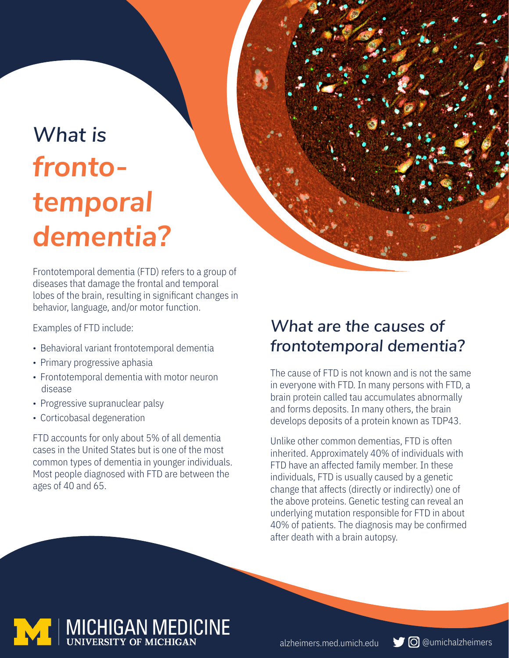# *What is frontotemporal dementia?*

Frontotemporal dementia (FTD) refers to a group of diseases that damage the frontal and temporal lobes of the brain, resulting in significant changes in behavior, language, and/or motor function.

Examples of FTD include:

- Behavioral variant frontotemporal dementia
- Primary progressive aphasia
- Frontotemporal dementia with motor neuron disease
- Progressive supranuclear palsy
- Corticobasal degeneration

FTD accounts for only about 5% of all dementia cases in the United States but is one of the most common types of dementia in younger individuals. Most people diagnosed with FTD are between the ages of 40 and 65.

### *What are the causes of frontotemporal dementia?*

The cause of FTD is not known and is not the same in everyone with FTD. In many persons with FTD, a brain protein called tau accumulates abnormally and forms deposits. In many others, the brain develops deposits of a protein known as TDP43.

Unlike other common dementias, FTD is often inherited. Approximately 40% of individuals with FTD have an affected family member. In these individuals, FTD is usually caused by a genetic change that affects (directly or indirectly) one of the above proteins. Genetic testing can reveal an underlying mutation responsible for FTD in about 40% of patients. The diagnosis may be confirmed after death with a brain autopsy.